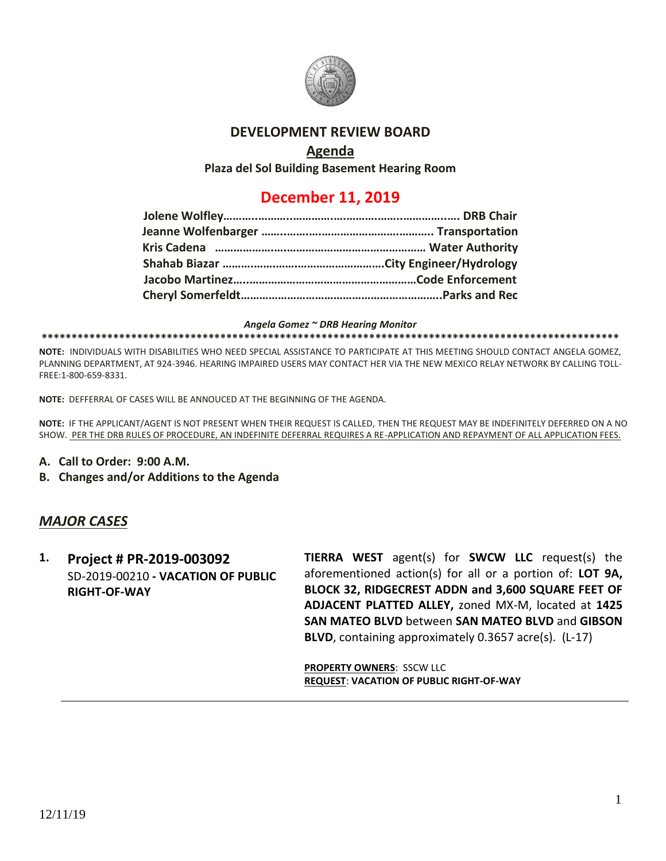

## **DEVELOPMENT REVIEW BOARD**

# **Agenda**

**Plaza del Sol Building Basement Hearing Room**

# **December 11, 2019**

#### *Angela Gomez ~ DRB Hearing Monitor*

#### **\*\*\*\*\*\*\*\*\*\*\*\*\*\*\*\*\*\*\*\*\*\*\*\*\*\*\*\*\*\*\*\*\*\*\*\*\*\*\*\*\*\*\*\*\*\*\*\*\*\*\*\*\*\*\*\*\*\*\*\*\*\*\*\*\*\*\*\*\*\*\*\*\*\*\*\*\*\*\*\*\*\*\*\*\*\*\*\*\*\*\*\*\*\*\*\*\***

**NOTE:** INDIVIDUALS WITH DISABILITIES WHO NEED SPECIAL ASSISTANCE TO PARTICIPATE AT THIS MEETING SHOULD CONTACT ANGELA GOMEZ, PLANNING DEPARTMENT, AT 924-3946. HEARING IMPAIRED USERS MAY CONTACT HER VIA THE NEW MEXICO RELAY NETWORK BY CALLING TOLL-FREE:1-800-659-8331.

**NOTE:** DEFFERRAL OF CASES WILL BE ANNOUCED AT THE BEGINNING OF THE AGENDA.

**NOTE:** IF THE APPLICANT/AGENT IS NOT PRESENT WHEN THEIR REQUEST IS CALLED, THEN THE REQUEST MAY BE INDEFINITELY DEFERRED ON A NO SHOW. PER THE DRB RULES OF PROCEDURE, AN INDEFINITE DEFERRAL REQUIRES A RE-APPLICATION AND REPAYMENT OF ALL APPLICATION FEES.

- **A. Call to Order: 9:00 A.M.**
- **B. Changes and/or Additions to the Agenda**

## *MAJOR CASES*

**1. Project # PR-2019-003092** SD-2019-00210 **- VACATION OF PUBLIC RIGHT-OF-WAY**

**TIERRA WEST** agent(s) for **SWCW LLC** request(s) the aforementioned action(s) for all or a portion of: **LOT 9A, BLOCK 32, RIDGECREST ADDN and 3,600 SQUARE FEET OF ADJACENT PLATTED ALLEY,** zoned MX-M, located at **1425 SAN MATEO BLVD** between **SAN MATEO BLVD** and **GIBSON BLVD**, containing approximately 0.3657 acre(s). (L-17)

**PROPERTY OWNERS**: SSCW LLC **REQUEST**: **VACATION OF PUBLIC RIGHT-OF-WAY**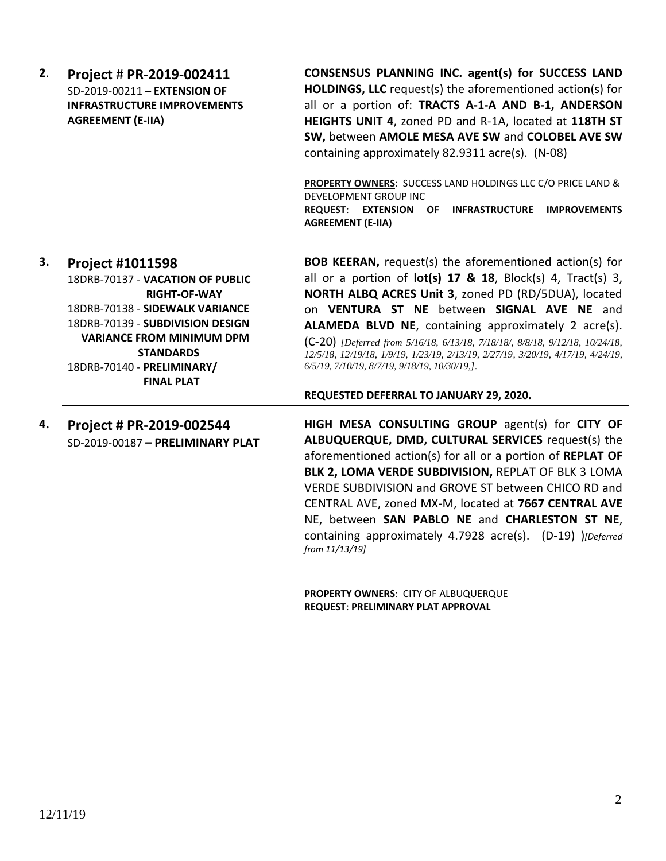| 2. | Project # PR-2019-002411<br>SD-2019-00211 - EXTENSION OF<br><b>INFRASTRUCTURE IMPROVEMENTS</b><br><b>AGREEMENT (E-IIA)</b>                                                                                                                                           | <b>CONSENSUS PLANNING INC. agent(s) for SUCCESS LAND</b><br>HOLDINGS, LLC request(s) the aforementioned action(s) for<br>all or a portion of: TRACTS A-1-A AND B-1, ANDERSON<br>HEIGHTS UNIT 4, zoned PD and R-1A, located at 118TH ST<br>SW, between AMOLE MESA AVE SW and COLOBEL AVE SW<br>containing approximately 82.9311 acre(s). (N-08)<br>PROPERTY OWNERS: SUCCESS LAND HOLDINGS LLC C/O PRICE LAND &<br>DEVELOPMENT GROUP INC<br><b>REQUEST: EXTENSION</b><br>OF<br><b>INFRASTRUCTURE</b><br><b>IMPROVEMENTS</b><br><b>AGREEMENT (E-IIA)</b> |
|----|----------------------------------------------------------------------------------------------------------------------------------------------------------------------------------------------------------------------------------------------------------------------|-------------------------------------------------------------------------------------------------------------------------------------------------------------------------------------------------------------------------------------------------------------------------------------------------------------------------------------------------------------------------------------------------------------------------------------------------------------------------------------------------------------------------------------------------------|
| 3. | <b>Project #1011598</b><br>18DRB-70137 - VACATION OF PUBLIC<br><b>RIGHT-OF-WAY</b><br>18DRB-70138 - SIDEWALK VARIANCE<br>18DRB-70139 - SUBDIVISION DESIGN<br><b>VARIANCE FROM MINIMUM DPM</b><br><b>STANDARDS</b><br>18DRB-70140 - PRELIMINARY/<br><b>FINAL PLAT</b> | <b>BOB KEERAN, request(s) the aforementioned action(s) for</b><br>all or a portion of $lot(s)$ 17 & 18, Block(s) 4, Tract(s) 3,<br>NORTH ALBQ ACRES Unit 3, zoned PD (RD/5DUA), located<br>on VENTURA ST NE between SIGNAL AVE NE and<br>ALAMEDA BLVD NE, containing approximately 2 acre(s).<br>(C-20) [Deferred from 5/16/18, 6/13/18, 7/18/18/, 8/8/18, 9/12/18, 10/24/18,<br>12/5/18, 12/19/18, 1/9/19, 1/23/19, 2/13/19, 2/27/19, 3/20/19, 4/17/19, 4/24/19,<br>6/5/19, 7/10/19, 8/7/19, 9/18/19, 10/30/19, J.                                   |
|    |                                                                                                                                                                                                                                                                      | REQUESTED DEFERRAL TO JANUARY 29, 2020.                                                                                                                                                                                                                                                                                                                                                                                                                                                                                                               |
| 4. | Project # PR-2019-002544<br>SD-2019-00187 - PRELIMINARY PLAT                                                                                                                                                                                                         | HIGH MESA CONSULTING GROUP agent(s) for CITY OF<br>ALBUQUERQUE, DMD, CULTURAL SERVICES request(s) the<br>aforementioned action(s) for all or a portion of REPLAT OF<br>BLK 2, LOMA VERDE SUBDIVISION, REPLAT OF BLK 3 LOMA<br>VERDE SUBDIVISION and GROVE ST between CHICO RD and<br>CENTRAL AVE, zoned MX-M, located at 7667 CENTRAL AVE<br>NE, between SAN PABLO NE and CHARLESTON ST NE,<br>containing approximately 4.7928 acre(s). (D-19) )[Deferred<br>from 11/13/19]                                                                           |

**PROPERTY OWNERS**: CITY OF ALBUQUERQUE **REQUEST**: **PRELIMINARY PLAT APPROVAL**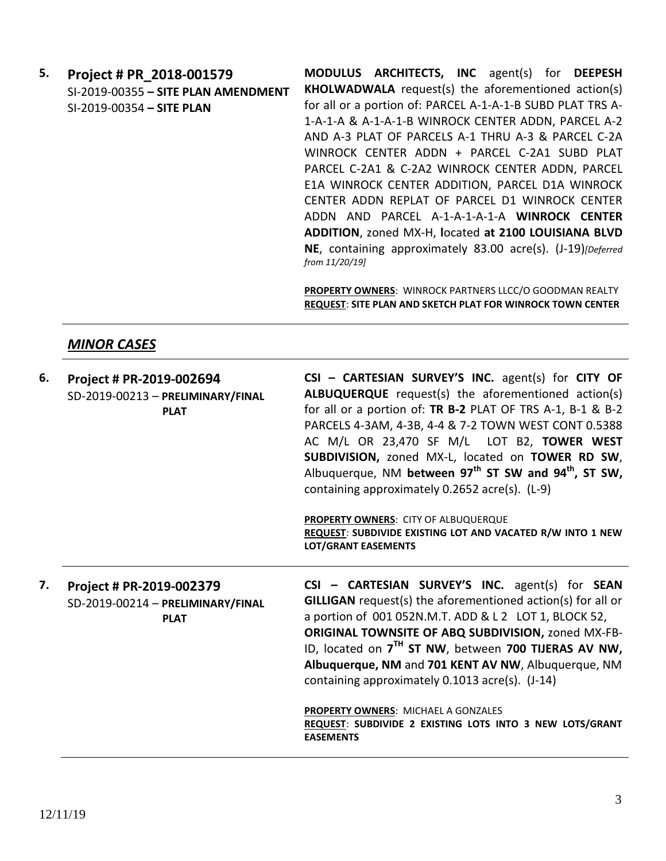**5. Project # PR\_2018-001579** SI-2019-00355 **– SITE PLAN AMENDMENT** SI-2019-00354 **– SITE PLAN**

**MODULUS ARCHITECTS, INC** agent(s) for **DEEPESH KHOLWADWALA** request(s) the aforementioned action(s) for all or a portion of: PARCEL A-1-A-1-B SUBD PLAT TRS A-1-A-1-A & A-1-A-1-B WINROCK CENTER ADDN, PARCEL A-2 AND A-3 PLAT OF PARCELS A-1 THRU A-3 & PARCEL C-2A WINROCK CENTER ADDN + PARCEL C-2A1 SUBD PLAT PARCEL C-2A1 & C-2A2 WINROCK CENTER ADDN, PARCEL E1A WINROCK CENTER ADDITION, PARCEL D1A WINROCK CENTER ADDN REPLAT OF PARCEL D1 WINROCK CENTER ADDN AND PARCEL A-1-A-1-A-1-A **WINROCK CENTER ADDITION**, zoned MX-H, **l**ocated **at 2100 LOUISIANA BLVD NE**, containing approximately 83.00 acre(s). (J-19)*[Deferred from 11/20/19]*

**PROPERTY OWNERS**: WINROCK PARTNERS LLCC/O GOODMAN REALTY **REQUEST**: **SITE PLAN AND SKETCH PLAT FOR WINROCK TOWN CENTER**

#### *MINOR CASES*

| 6. | Project # PR-2019-002694<br>SD-2019-00213 - PRELIMINARY/FINAL<br><b>PLAT</b> | $CSI - CARTESIAN SURVEY'S INC. agent(s) for CITY OF$<br><b>ALBUQUERQUE</b> request(s) the aforementioned action(s)<br>for all or a portion of: TR B-2 PLAT OF TRS A-1, B-1 & B-2<br>PARCELS 4-3AM, 4-3B, 4-4 & 7-2 TOWN WEST CONT 0.5388<br>AC M/L OR 23,470 SF M/L LOT B2, TOWER WEST<br>SUBDIVISION, zoned MX-L, located on TOWER RD SW,<br>Albuquerque, NM between $97th$ ST SW and $94th$ , ST SW,<br>containing approximately 0.2652 acre(s). (L-9)<br>PROPERTY OWNERS: CITY OF ALBUQUERQUE<br>REQUEST: SUBDIVIDE EXISTING LOT AND VACATED R/W INTO 1 NEW<br><b>LOT/GRANT EASEMENTS</b> |
|----|------------------------------------------------------------------------------|----------------------------------------------------------------------------------------------------------------------------------------------------------------------------------------------------------------------------------------------------------------------------------------------------------------------------------------------------------------------------------------------------------------------------------------------------------------------------------------------------------------------------------------------------------------------------------------------|
| 7. | Project # PR-2019-002379<br>SD-2019-00214 - PRELIMINARY/FINAL<br><b>PLAT</b> | CSI - CARTESIAN SURVEY'S INC. agent(s) for SEAN<br>GILLIGAN request(s) the aforementioned action(s) for all or<br>a portion of 001 052N.M.T. ADD & L 2 LOT 1, BLOCK 52,<br>ORIGINAL TOWNSITE OF ABQ SUBDIVISION, zoned MX-FB-<br>ID, located on 7 <sup>TH</sup> ST NW, between 700 TIJERAS AV NW,<br>Albuquerque, NM and 701 KENT AV NW, Albuquerque, NM<br>containing approximately 0.1013 acre(s). (J-14)<br><b>PROPERTY OWNERS: MICHAEL A GONZALES</b><br>REQUEST: SUBDIVIDE 2 EXISTING LOTS INTO 3 NEW LOTS/GRANT<br><b>EASEMENTS</b>                                                    |